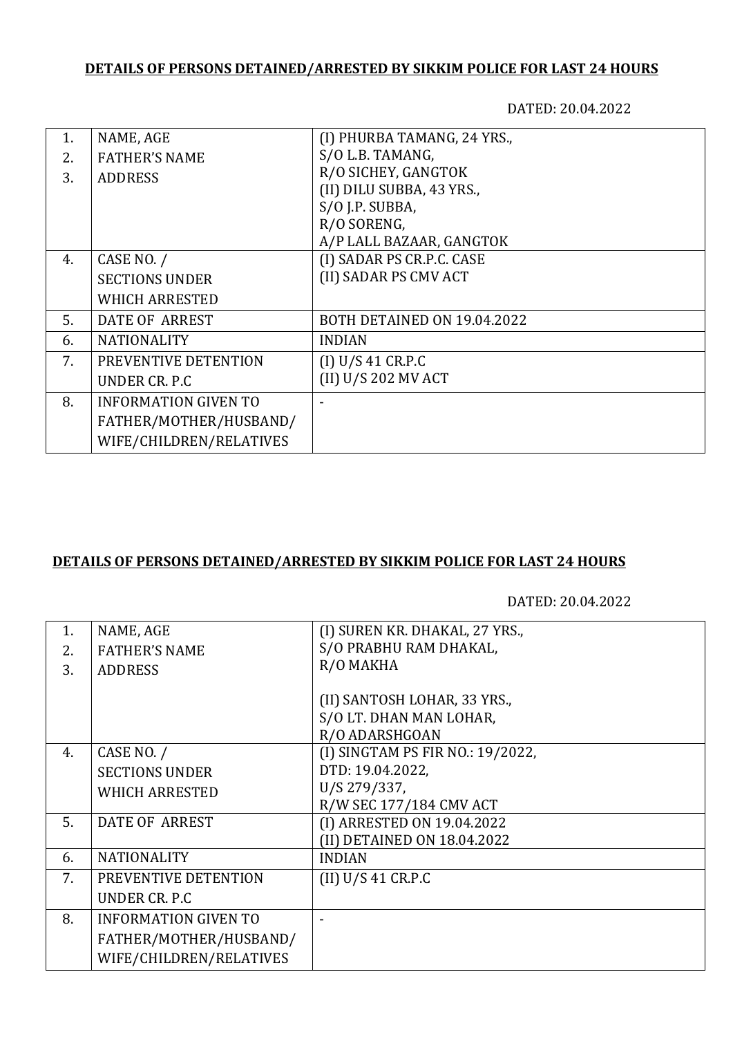## **DETAILS OF PERSONS DETAINED/ARRESTED BY SIKKIM POLICE FOR LAST 24 HOURS**

DATED: 20.04.2022

| 1. | NAME, AGE                   | (I) PHURBA TAMANG, 24 YRS., |
|----|-----------------------------|-----------------------------|
| 2. | <b>FATHER'S NAME</b>        | S/O L.B. TAMANG,            |
| 3. | <b>ADDRESS</b>              | R/O SICHEY, GANGTOK         |
|    |                             | (II) DILU SUBBA, 43 YRS.,   |
|    |                             | S/O J.P. SUBBA,             |
|    |                             | R/O SORENG,                 |
|    |                             | A/P LALL BAZAAR, GANGTOK    |
| 4. | CASE NO. /                  | (I) SADAR PS CR.P.C. CASE   |
|    | <b>SECTIONS UNDER</b>       | (II) SADAR PS CMV ACT       |
|    | <b>WHICH ARRESTED</b>       |                             |
| 5. | <b>DATE OF ARREST</b>       | BOTH DETAINED ON 19.04.2022 |
| 6. | <b>NATIONALITY</b>          | <b>INDIAN</b>               |
| 7. | PREVENTIVE DETENTION        | (I) U/S 41 C R.P.C          |
|    | UNDER CR. P.C.              | (II) U/S 202 MV ACT         |
| 8. | <b>INFORMATION GIVEN TO</b> |                             |
|    | FATHER/MOTHER/HUSBAND/      |                             |
|    | WIFE/CHILDREN/RELATIVES     |                             |

## **DETAILS OF PERSONS DETAINED/ARRESTED BY SIKKIM POLICE FOR LAST 24 HOURS**

DATED: 20.04.2022

| 1. | NAME, AGE                   | (I) SUREN KR. DHAKAL, 27 YRS.,   |
|----|-----------------------------|----------------------------------|
| 2. | <b>FATHER'S NAME</b>        | S/O PRABHU RAM DHAKAL,           |
| 3. | <b>ADDRESS</b>              | R/O MAKHA                        |
|    |                             |                                  |
|    |                             | (II) SANTOSH LOHAR, 33 YRS.,     |
|    |                             | S/O LT. DHAN MAN LOHAR,          |
|    |                             | R/O ADARSHGOAN                   |
| 4. | CASE NO. /                  | (I) SINGTAM PS FIR NO.: 19/2022, |
|    | <b>SECTIONS UNDER</b>       | DTD: 19.04.2022,                 |
|    | <b>WHICH ARRESTED</b>       | U/S 279/337,                     |
|    |                             | R/W SEC 177/184 CMV ACT          |
| 5. | DATE OF ARREST              | (I) ARRESTED ON 19.04.2022       |
|    |                             | (II) DETAINED ON 18.04.2022      |
| 6. | <b>NATIONALITY</b>          | <b>INDIAN</b>                    |
| 7. | PREVENTIVE DETENTION        | (II) U/S 41 C R.P.C              |
|    | UNDER CR. P.C               |                                  |
| 8. | <b>INFORMATION GIVEN TO</b> |                                  |
|    | FATHER/MOTHER/HUSBAND/      |                                  |
|    | WIFE/CHILDREN/RELATIVES     |                                  |